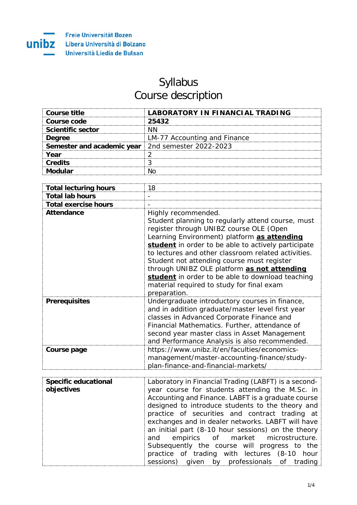

## Syllabus Course description

| Course title                                             | LABORATORY IN FINANCIAL TRADING |
|----------------------------------------------------------|---------------------------------|
| Course code                                              | 25432                           |
| <b>Scientific sector</b>                                 |                                 |
| <b>Dearee</b>                                            | LM-77 Accounting and Finance    |
| <b>Semester and academic year</b> 2nd semester 2022-2023 |                                 |
| Vear                                                     |                                 |
| Credits                                                  |                                 |
|                                                          |                                 |

| <b>Total lecturing hours</b> | 18                                                                                                                                                                                                                                                                                                                                                                                                                                                                                             |
|------------------------------|------------------------------------------------------------------------------------------------------------------------------------------------------------------------------------------------------------------------------------------------------------------------------------------------------------------------------------------------------------------------------------------------------------------------------------------------------------------------------------------------|
| <b>Total lab hours</b>       |                                                                                                                                                                                                                                                                                                                                                                                                                                                                                                |
| <b>Total exercise hours</b>  |                                                                                                                                                                                                                                                                                                                                                                                                                                                                                                |
| <b>Attendance</b>            | Highly recommended.<br>Student planning to regularly attend course, must<br>register through UNIBZ course OLE (Open<br>Learning Environment) platform as attending<br>student in order to be able to actively participate<br>to lectures and other classroom related activities.<br>Student not attending course must register<br>through UNIBZ OLE platform as not attending<br>student in order to be able to download teaching<br>material required to study for final exam<br>preparation. |
| <b>Prerequisites</b>         | Undergraduate introductory courses in finance,<br>and in addition graduate/master level first year<br>classes in Advanced Corporate Finance and<br>Financial Mathematics. Further, attendance of<br>second year master class in Asset Management<br>and Performance Analysis is also recommended.                                                                                                                                                                                              |
| Course page                  | https://www.unibz.it/en/faculties/economics-<br>management/master-accounting-finance/study-<br>plan-finance-and-financial-markets/                                                                                                                                                                                                                                                                                                                                                             |

| <b>Specific educational</b> | Laboratory in Financial Trading (LABFT) is a second- |
|-----------------------------|------------------------------------------------------|
|                             |                                                      |
| objectives                  | year course for students attending the M.Sc. in      |
|                             | Accounting and Finance. LABFT is a graduate course   |
|                             | designed to introduce students to the theory and     |
|                             | practice of securities and contract trading at       |
|                             | exchanges and in dealer networks. LABFT will have    |
|                             | an initial part (8-10 hour sessions) on the theory   |
|                             | and empirics of market microstructure.               |
|                             | Subsequently the course will progress to the         |
|                             | practice of trading with lectures (8-10 hour         |
|                             | sessions) given by professionals of trading          |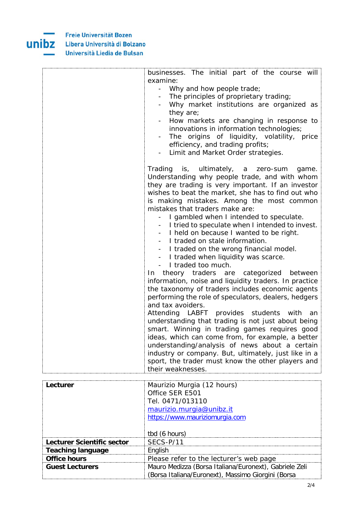**Freie Universität Bozen** Libera Università di Bolzano Università Liedia de Bulsan

unibz



| Lecturer                   | Maurizio Murgia (12 hours)                             |
|----------------------------|--------------------------------------------------------|
|                            | Office SER E501                                        |
|                            | Tel. 0471/013110                                       |
|                            | maurizio.murgia@unibz.it                               |
|                            | https://www.mauriziomurgia.com                         |
|                            |                                                        |
|                            | tbd (6 hours)                                          |
| Lecturer Scientific sector | SECS-P/11                                              |
| <b>Teaching language</b>   | English                                                |
| <b>Office hours</b>        | Please refer to the lecturer's web page                |
| <b>Guest Lecturers</b>     | Mauro Medizza (Borsa Italiana/Euronext), Gabriele Zeli |
|                            | (Borsa Italiana/Euronext), Massimo Giorgini (Borsa     |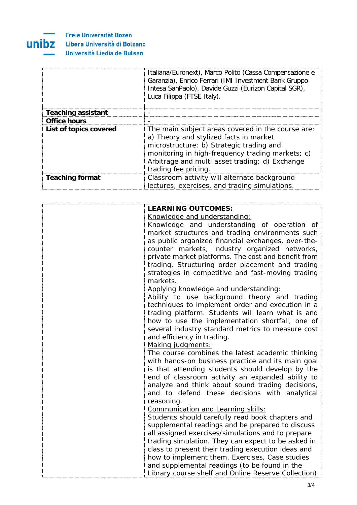

## Freie Universität Bozen Libera Università di Bolzano Università Liedia de Bulsan

|                           | Italiana/Euronext), Marco Polito (Cassa Compensazione e<br>Garanzia), Enrico Ferrari (IMI Investment Bank Gruppo<br>Intesa SanPaolo), Davide Guzzi (Eurizon Capital SGR),<br>Luca Filippa (FTSE Italy).                                                               |
|---------------------------|-----------------------------------------------------------------------------------------------------------------------------------------------------------------------------------------------------------------------------------------------------------------------|
| <b>Teaching assistant</b> |                                                                                                                                                                                                                                                                       |
| <b>Office hours</b>       |                                                                                                                                                                                                                                                                       |
| List of topics covered    | The main subject areas covered in the course are:<br>a) Theory and stylized facts in market<br>microstructure; b) Strategic trading and<br>monitoring in high-frequency trading markets; c)<br>Arbitrage and multi asset trading; d) Exchange<br>trading fee pricing. |
| <b>Teaching format</b>    | Classroom activity will alternate background<br>lectures, exercises, and trading simulations.                                                                                                                                                                         |

| <b>LEARNING OUTCOMES:</b>                           |
|-----------------------------------------------------|
| Knowledge and understanding:                        |
| Knowledge and understanding of operation of         |
| market structures and trading environments such     |
| as public organized financial exchanges, over-the-  |
| counter markets, industry organized networks,       |
| private market platforms. The cost and benefit from |
| trading. Structuring order placement and trading    |
| strategies in competitive and fast-moving trading   |
| markets.                                            |
| Applying knowledge and understanding:               |
| Ability to use background theory and trading        |
| techniques to implement order and execution in a    |
| trading platform. Students will learn what is and   |
| how to use the implementation shortfall, one of     |
| several industry standard metrics to measure cost   |
| and efficiency in trading.                          |
| Making judgments:                                   |
| The course combines the latest academic thinking    |
| with hands-on business practice and its main goal   |
| is that attending students should develop by the    |
| end of classroom activity an expanded ability to    |
| analyze and think about sound trading decisions,    |
| and to defend these decisions with analytical       |
| reasoning.<br>Communication and Learning skills:    |
| Students should carefully read book chapters and    |
| supplemental readings and be prepared to discuss    |
| all assigned exercises/simulations and to prepare   |
| trading simulation. They can expect to be asked in  |
| class to present their trading execution ideas and  |
| how to implement them. Exercises, Case studies      |
| and supplemental readings (to be found in the       |
| Library course shelf and Online Reserve Collection) |